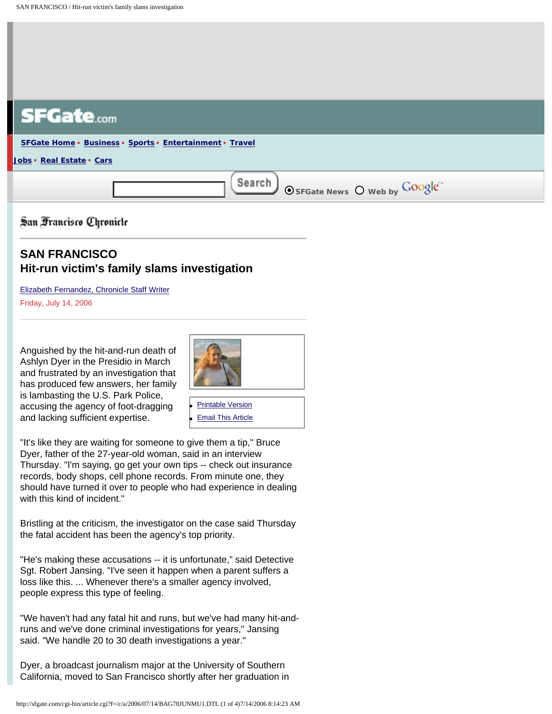

San Francisco Chronicle

## **SAN FRANCISCO Hit-run victim's family slams investigation**

[Elizabeth Fernandez, Chronicle Staff Writer](mailto:efernandez@sfchronicle.com) Friday, July 14, 2006

Anguished by the hit-and-run death of Ashlyn Dyer in the Presidio in March and frustrated by an investigation that has produced few answers, her family is lambasting the U.S. Park Police, accusing the agency of foot-dragging and lacking sufficient expertise.



**[Printable Version](http://sfgate.com/cgi-bin/article.cgi?file=/c/a/2006/07/14/BAG78JUNMU1.DTL&type=printable) [Email This Article](http://sfgate.com/cgi-bin/article.cgi?file=/c/a/2006/07/14/BAG78JUNMU1.DTL&type=friend&emailcolor=%23081A38&origin=http://www.sfgate.com/cgi-bin/article.cgi%3Ff%3D%2Fc%2Fa%2F2006%2F07%2F14%2FBAG78JUNMU1.DTL)** 

"It's like they are waiting for someone to give them a tip," Bruce Dyer, father of the 27-year-old woman, said in an interview Thursday. "I'm saying, go get your own tips -- check out insurance records, body shops, cell phone records. From minute one, they should have turned it over to people who had experience in dealing with this kind of incident."

Bristling at the criticism, the investigator on the case said Thursday the fatal accident has been the agency's top priority.

"He's making these accusations -- it is unfortunate," said Detective Sgt. Robert Jansing. "I've seen it happen when a parent suffers a loss like this. ... Whenever there's a smaller agency involved, people express this type of feeling.

"We haven't had any fatal hit and runs, but we've had many hit-andruns and we've done criminal investigations for years," Jansing said. "We handle 20 to 30 death investigations a year."

Dyer, a broadcast journalism major at the University of Southern California, moved to San Francisco shortly after her graduation in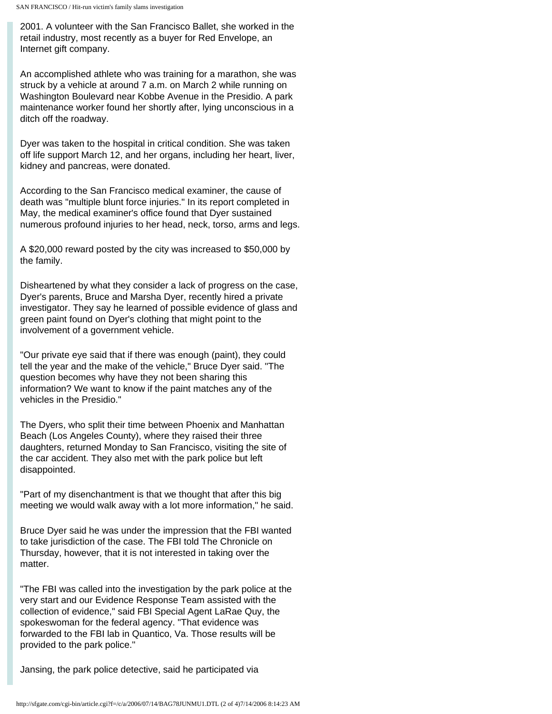2001. A volunteer with the San Francisco Ballet, she worked in the retail industry, most recently as a buyer for Red Envelope, an Internet gift company.

An accomplished athlete who was training for a marathon, she was struck by a vehicle at around 7 a.m. on March 2 while running on Washington Boulevard near Kobbe Avenue in the Presidio. A park maintenance worker found her shortly after, lying unconscious in a ditch off the roadway.

Dyer was taken to the hospital in critical condition. She was taken off life support March 12, and her organs, including her heart, liver, kidney and pancreas, were donated.

According to the San Francisco medical examiner, the cause of death was "multiple blunt force injuries." In its report completed in May, the medical examiner's office found that Dyer sustained numerous profound injuries to her head, neck, torso, arms and legs.

A \$20,000 reward posted by the city was increased to \$50,000 by the family.

Disheartened by what they consider a lack of progress on the case, Dyer's parents, Bruce and Marsha Dyer, recently hired a private investigator. They say he learned of possible evidence of glass and green paint found on Dyer's clothing that might point to the involvement of a government vehicle.

"Our private eye said that if there was enough (paint), they could tell the year and the make of the vehicle," Bruce Dyer said. "The question becomes why have they not been sharing this information? We want to know if the paint matches any of the vehicles in the Presidio."

The Dyers, who split their time between Phoenix and Manhattan Beach (Los Angeles County), where they raised their three daughters, returned Monday to San Francisco, visiting the site of the car accident. They also met with the park police but left disappointed.

"Part of my disenchantment is that we thought that after this big meeting we would walk away with a lot more information," he said.

Bruce Dyer said he was under the impression that the FBI wanted to take jurisdiction of the case. The FBI told The Chronicle on Thursday, however, that it is not interested in taking over the matter.

"The FBI was called into the investigation by the park police at the very start and our Evidence Response Team assisted with the collection of evidence," said FBI Special Agent LaRae Quy, the spokeswoman for the federal agency. "That evidence was forwarded to the FBI lab in Quantico, Va. Those results will be provided to the park police."

Jansing, the park police detective, said he participated via